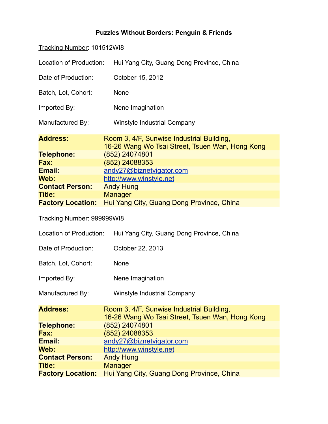## **Puzzles Without Borders: Penguin & Friends**

| Tracking Number: 101512WI8 |                                                                                              |  |
|----------------------------|----------------------------------------------------------------------------------------------|--|
| Location of Production:    | Hui Yang City, Guang Dong Province, China                                                    |  |
| Date of Production:        | October 15, 2012                                                                             |  |
| Batch, Lot, Cohort:        | <b>None</b>                                                                                  |  |
| Imported By:               | Nene Imagination                                                                             |  |
| Manufactured By:           | <b>Winstyle Industrial Company</b>                                                           |  |
| <b>Address:</b>            | Room 3, 4/F, Sunwise Industrial Building,<br>16-26 Wang Wo Tsai Street, Tsuen Wan, Hong Kong |  |
| <b>Telephone:</b>          | (852) 24074801                                                                               |  |
| <b>Fax:</b>                | (852) 24088353                                                                               |  |
| Email:                     | andy27@biznetvigator.com                                                                     |  |
| Web:                       | http://www.winstyle.net                                                                      |  |
| <b>Contact Person:</b>     | <b>Andy Hung</b>                                                                             |  |
| <b>Title:</b>              | <b>Manager</b>                                                                               |  |
| <b>Factory Location:</b>   | Hui Yang City, Guang Dong Province, China                                                    |  |
| Tracking Number: 999999WI8 |                                                                                              |  |
| Location of Production:    | Hui Yang City, Guang Dong Province, China                                                    |  |
| Date of Production:        | October 22, 2013                                                                             |  |
| Batch, Lot, Cohort:        | <b>None</b>                                                                                  |  |
| Imported By:               | Nene Imagination                                                                             |  |
| Manufactured By:           | <b>Winstyle Industrial Company</b>                                                           |  |
| <b>Address:</b>            | Room 3, 4/F, Sunwise Industrial Building,<br>16-26 Wang Wo Tsai Street, Tsuen Wan, Hong Kong |  |
| <b>Telephone:</b>          | (852) 24074801                                                                               |  |
| <b>Fax:</b>                | (852) 24088353                                                                               |  |
| Email:                     | andy27@biznetvigator.com                                                                     |  |
| Web:                       | http://www.winstyle.net                                                                      |  |

[http://www.winstyle.net](http://www.winstyle.net/)<br>Andy Hung

**Factory Location:** Hui Yang City, Guang Dong Province, China

**Manager** 

**Contact Person:<br>Title:**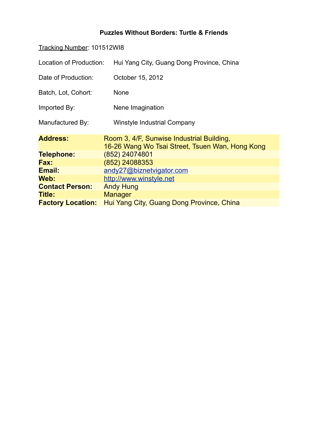## **Puzzles Without Borders: Turtle & Friends**

| Tracking Number: 101512WI8 |                                                                                              |  |
|----------------------------|----------------------------------------------------------------------------------------------|--|
| Location of Production:    | Hui Yang City, Guang Dong Province, China                                                    |  |
| Date of Production:        | October 15, 2012                                                                             |  |
| Batch, Lot, Cohort:        | <b>None</b>                                                                                  |  |
| Imported By:               | Nene Imagination                                                                             |  |
| Manufactured By:           | <b>Winstyle Industrial Company</b>                                                           |  |
| <b>Address:</b>            | Room 3, 4/F, Sunwise Industrial Building,<br>16-26 Wang Wo Tsai Street, Tsuen Wan, Hong Kong |  |
| <b>Telephone:</b>          | (852) 24074801                                                                               |  |
| <b>Fax:</b>                | (852) 24088353                                                                               |  |
| Email:                     | andy27@biznetvigator.com                                                                     |  |
| Web:                       | http://www.winstyle.net                                                                      |  |
| <b>Contact Person:</b>     | <b>Andy Hung</b>                                                                             |  |
| Title:                     | <b>Manager</b>                                                                               |  |
| <b>Factory Location:</b>   | Hui Yang City, Guang Dong Province, China                                                    |  |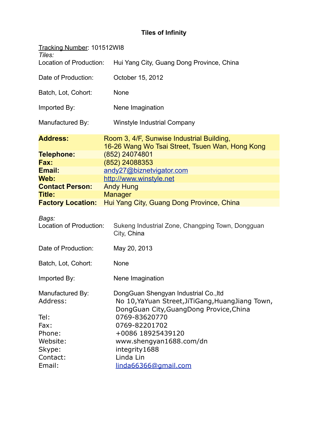## **Tiles of Infinity**

| Tracking Number: 101512WI8           |                                                                                                                                                        |
|--------------------------------------|--------------------------------------------------------------------------------------------------------------------------------------------------------|
| Tiles:<br>Location of Production:    | Hui Yang City, Guang Dong Province, China                                                                                                              |
| Date of Production:                  | October 15, 2012                                                                                                                                       |
| Batch, Lot, Cohort:                  | None                                                                                                                                                   |
| Imported By:                         | Nene Imagination                                                                                                                                       |
| Manufactured By:                     | <b>Winstyle Industrial Company</b>                                                                                                                     |
| <b>Address:</b>                      | Room 3, 4/F, Sunwise Industrial Building,<br>16-26 Wang Wo Tsai Street, Tsuen Wan, Hong Kong                                                           |
| <b>Telephone:</b>                    | (852) 24074801                                                                                                                                         |
| Fax:                                 | (852) 24088353                                                                                                                                         |
| Email:                               | andy27@biznetvigator.com                                                                                                                               |
| Web:                                 | http://www.winstyle.net                                                                                                                                |
| <b>Contact Person:</b>               | <b>Andy Hung</b>                                                                                                                                       |
| <b>Title:</b>                        | <b>Manager</b>                                                                                                                                         |
| <b>Factory Location:</b>             | Hui Yang City, Guang Dong Province, China                                                                                                              |
| Bags:<br>Location of Production:     | Sukeng Industrial Zone, Changping Town, Dongguan<br>City, China                                                                                        |
| Date of Production:                  | May 20, 2013                                                                                                                                           |
| Batch, Lot, Cohort:                  | None                                                                                                                                                   |
| Imported By:                         | Nene Imagination                                                                                                                                       |
| Manufactured By:<br>Address:<br>Tel: | DongGuan Shengyan Industrial Co., Itd<br>No 10, YaYuan Street, JiTiGang, Huang Jiang Town,<br>DongGuan City, GuangDong Provice, China<br>0769-83620770 |
| Fax:                                 | 0769-82201702                                                                                                                                          |
| Phone:                               | +0086 18925439120                                                                                                                                      |
| Website:                             | www.shengyan1688.com/dn                                                                                                                                |
| Skype:                               | integrity1688                                                                                                                                          |
| Contact:                             | Linda Lin                                                                                                                                              |
| Email:                               | linda66366@gmail.com                                                                                                                                   |